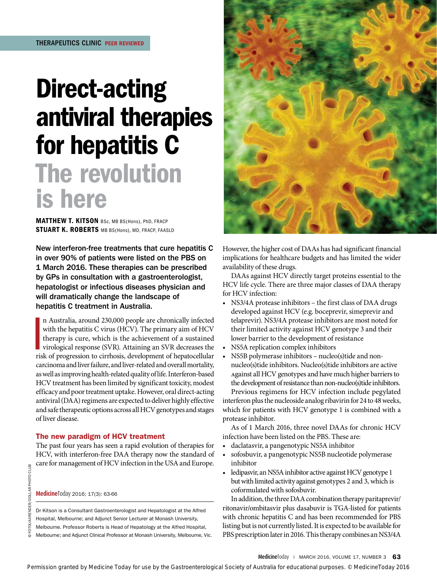# Direct-acting antiviral therapies for hepatitis C The revolution is here

MATTHEW T. KITSON BSc, MB BS(Hons), PhD, FRACP STUART K. ROBERTS MB BS(Hons), MD, FRACP, FAASLD

New interferon-free treatments that cure hepatitis C in over 90% of patients were listed on the PBS on 1 March 2016. These therapies can be prescribed by GPs in consultation with a gastroenterologist, hepatologist or infectious diseases physician and will dramatically change the landscape of hepatitis C treatment in Australia.

n Australia, around 230,000 people are chronically infected with the hepatitis C virus (HCV). The primary aim of HCV therapy is cure, which is the achievement of a sustained virological response (SVR). Attaining an SVR dec n Australia, around 230,000 people are chronically infected with the hepatitis C virus (HCV). The primary aim of HCV therapy is cure, which is the achievement of a sustained virological response (SVR). Attaining an SVR decreases the carcinoma and liver failure, and liver-related and overall mortality, as well as improving health-related quality of life. Interferon-based HCV treatment has been limited by significant toxicity, modest efficacy and poor treatment uptake. However, oral direct-acting antiviral (DAA) regimens are expected to deliver highly effective and safe therapeutic options across all HCV genotypes and stages of liver disease.

## The new paradigm of HCV treatment

The past four years has seen a rapid evolution of therapies for HCV, with interferon-free DAA therapy now the standard of care for management of HCV infection in the USA and Europe.

**Medicine**Today 2016; 17(3): 63-66

Dr Kitson is a Consultant Gastroenterologist and Hepatologist at the Alfred Hospital, Melbourne; and Adjunct Senior Lecturer at Monash University, Melbourne. Professor Roberts is Head of Hepatology at the Alfred Hospital, Melbourne; and Adjunct Clinical Professor at Monash University, Melbourne, Vic.



However, the higher cost of DAAs has had significant financial implications for healthcare budgets and has limited the wider availability of these drugs.

DAAs against HCV directly target proteins essential to the HCV life cycle. There are three major classes of DAA therapy for HCV infection:

- NS3/4A protease inhibitors the first class of DAA drugs developed against HCV (e.g. boceprevir, simeprevir and telaprevir). NS3/4A protease inhibitors are most noted for their limited activity against HCV genotype 3 and their lower barrier to the development of resistance
- NS5A replication complex inhibitors
- NS5B polymerase inhibitors nucleo(s)tide and nonnucleo(s)tide inhibitors. Nucleo(s)tide inhibitors are active Against all HCV genotypes and have much higher barriers to the development of resistance than non-nucleo(s)tide inhibitors. Previous regimens for HCV infection include pegylated

interferon plus the nucleoside analog ribavirin for 24 to 48 weeks, which for patients with HCV genotype 1 is combined with a protease inhibitor.

As of 1 March 2016, three novel DAAs for chronic HCV infection have been listed on the PBS. These are:

- daclatasvir, a pangenotypic NS5A inhibitor
- sofosbuvir, a pangenotypic NS5B nucleotide polymerase inhibitor
- ledipasvir, an NS5A inhibitor active against HCV genotype 1 but with limited activity against genotypes 2 and 3, which is coformulated with sofosbuvir.

In addition, the three DAA combination therapy paritaprevir/ ritonavir/ombitasvir plus dasabuvir is TGA-listed for patients with chronic hepatitis C and has been recommended for PBS listing but is not currently listed. It is expected to be available for PBS prescription later in 2016. This therapy combines an NS3/4A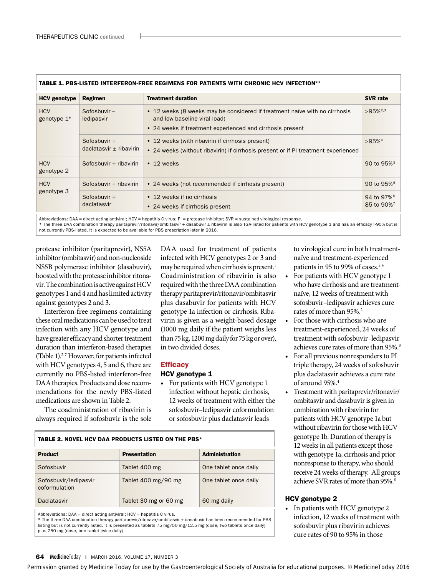| <b>TABLE 1. PBS-LISTED INTERFERON-FREE REGIMENS FOR PATIENTS WITH CHRONIC HCV INFECTION27</b> |                                                |                                                                                                                                                                         |                                                  |  |  |
|-----------------------------------------------------------------------------------------------|------------------------------------------------|-------------------------------------------------------------------------------------------------------------------------------------------------------------------------|--------------------------------------------------|--|--|
| <b>HCV</b> genotype                                                                           | Regimen                                        | <b>Treatment duration</b>                                                                                                                                               | <b>SVR</b> rate                                  |  |  |
| <b>HCV</b><br>genotype $1*$                                                                   | Sofosbuvir-<br>ledipasvir                      | • 12 weeks (8 weeks may be considered if treatment naïve with no cirrhosis<br>and low baseline viral load)<br>• 24 weeks if treatment experienced and cirrhosis present | $>95\%^{2,3}$                                    |  |  |
|                                                                                               | Sofosbuvir +<br>$dac$ latasvir $\pm$ ribavirin | • 12 weeks (with ribavirin if cirrhosis present)<br>• 24 weeks (without ribavirin) if cirrhosis present or if PI treatment experienced                                  | $>95%$ <sup>4</sup>                              |  |  |
| <b>HCV</b><br>genotype 2                                                                      | Sofosbuvir + ribavirin                         | $\cdot$ 12 weeks                                                                                                                                                        | 90 to $95\%$ <sup>5</sup>                        |  |  |
| <b>HCV</b><br>genotype 3                                                                      | Sofosbuvir + ribavirin                         | • 24 weeks (not recommended if cirrhosis present)                                                                                                                       | 90 to $95\%$ <sup>5</sup>                        |  |  |
|                                                                                               | Sofosbuvir $+$<br>daclatasvir                  | • 12 weeks if no cirrhosis<br>• 24 weeks if cirrhosis present                                                                                                           | 94 to 97% <sup>6</sup><br>85 to 90% <sup>7</sup> |  |  |

Abbreviations: DAA = direct acting antiviral; HCV = hepatitis C virus; PI = protease inhibitor; SVR = sustained virological response.

\* The three DAA combination therapy paritaprevir/ritonavir/ombitasvir + dasabuvir ± ribavirin is also TGA-listed for patients with HCV genotype 1 and has an efficacy >95% but is not currently PBS-listed. It is expected to be available for PBS prescription later in 2016.

protease inhibitor (paritaprevir), NS5A inhibitor (ombitasvir) and non-nucleoside NS5B polymerase inhibitor (dasabuvir), boosted with the protease inhibitor ritonavir. The combination is active against HCV genotypes 1 and 4 and has limited activity against genotypes 2 and 3.

Interferon-free regimens containing these oral medications can be used to treat infection with any HCV genotype and have greater efficacy and shorter treatment duration than interferon-based therapies (Table 1).2-7 However, for patients infected with HCV genotypes 4, 5 and 6, there are currently no PBS-listed interferon-free DAA therapies. Products and dose recommendations for the newly PBS-listed medications are shown in Table 2.

The coadministration of ribavirin is always required if sofosbuvir is the sole

DAA used for treatment of patients infected with HCV genotypes 2 or 3 and may be required when cirrhosis is present.<sup>1</sup> Coadministration of ribavirin is also required with the three DAA combination therapy paritaprevir/ritonavir/ombitasvir plus dasabuvir for patients with HCV genotype 1a infection or cirrhosis. Ribavirin is given as a weight-based dosage (1000 mg daily if the patient weighs less than 75 kg, 1200 mg daily for 75 kg or over), in two divided doses.

## **Efficacy**

## HCV genotype 1

• For patients with HCV genotype 1 infection without hepatic cirrhosis, 12 weeks of treatment with either the sofosbuvir–ledipasvir coformulation or sofosbuvir plus daclatasvir leads

# TABLE 2. NOVEL HCV DAA PRODUCTS LISTED ON THE PBS\*

| <b>Product</b>                         | <b>Presentation</b>                   | <b>Administration</b> |  |  |
|----------------------------------------|---------------------------------------|-----------------------|--|--|
| Sofosbuvir                             | Tablet 400 mg                         | One tablet once daily |  |  |
| Sofosbuvir/ledipasvir<br>coformulation | Tablet $400 \text{ mg}/90 \text{ mg}$ | One tablet once daily |  |  |
| Daclatasvir                            | Tablet 30 mg or 60 mg                 | 60 mg daily           |  |  |

Abbreviations: DAA = direct acting antiviral; HCV = hepatitis C virus.

\* The three DAA combination therapy paritaprevir/ritonavir/ombitasvir + dasabuvir has been recommended for PBS listing but is not currently listed. It is presented as tablets 75 mg/50 mg/12.5 mg (dose, two tablets once daily) plus 250 mg (dose, one tablet twice daily).

to virological cure in both treatmentnaïve and treatment-experienced patients in 95 to 99% of cases.<sup>2,4</sup>

- For patients with HCV genotype 1 who have cirrhosis and are treatmentnaïve, 12 weeks of treatment with sofosbuvir–ledipasvir achieves cure rates of more than 95%.2
- For those with cirrhosis who are treatment-experienced, 24 weeks of treatment with sofosbuvir–ledipasvir achieves cure rates of more than 95%.<sup>3</sup>
- For all previous nonresponders to PI triple therapy, 24 weeks of sofosbuvir plus daclatasvir achieves a cure rate of around 95%.4
- Treatment with paritaprevir/ritonavir/ ombitasvir and dasabuvir is given in combination with ribavirin for patients with HCV genotype 1a but without ribavirin for those with HCV genotype 1b. Duration of therapy is 12 weeks in all patients except those with genotype 1a, cirrhosis and prior nonresponse to therapy, who should receive 24 weeks of therapy. All groups achieve SVR rates of more than 95%.<sup>8</sup>

# HCV genotype 2

• In patients with HCV genotype 2 infection, 12 weeks of treatment with sofosbuvir plus ribavirin achieves cure rates of 90 to 95% in those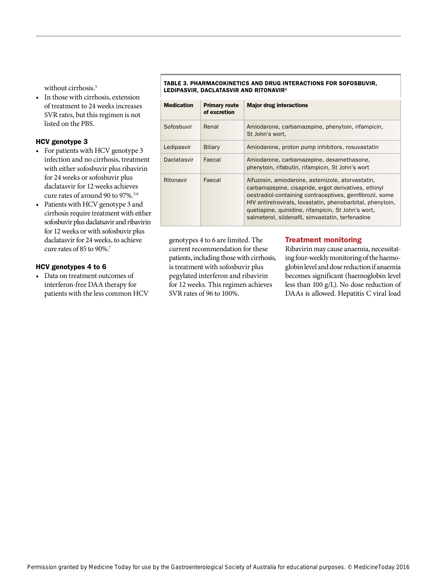without cirrhosis.<sup>5</sup>

• In those with cirrhosis, extension of treatment to 24 weeks increases SVR rates, but this regimen is not listed on the PBS.

# HCV genotype 3

- For patients with HCV genotype 3 infection and no cirrhosis, treatment with either sofosbuvir plus ribavirin for 24 weeks or sofosbuvir plus daclatasvir for 12 weeks achieves cure rates of around 90 to 97%.<sup>5,6</sup>
- Patients with HCV genotype 3 and cirrhosis require treatment with either sofosbuvir plus daclatsavir and ribavirin for 12 weeks or with sofosbuvir plus daclatasvir for 24 weeks, to achieve cure rates of 85 to 90%.7

## HCV genotypes 4 to 6

Data on treatment outcomes of interferon-free DAA therapy for patients with the less common HCV



#### TABLE 3. PHARMACOKINETICS AND DRUG INTERACTIONS FOR SOFOSBUVIR, LEDIPASVIR, DACLATASVIR AND RITONAVIR<sup>1</sup>

| <b>Medication</b> | <b>Primary route</b><br>of excretion | <b>Major drug interactions</b>                                                                                                                                                                                                                                                                                                              |
|-------------------|--------------------------------------|---------------------------------------------------------------------------------------------------------------------------------------------------------------------------------------------------------------------------------------------------------------------------------------------------------------------------------------------|
| Sofosbuvir        | Renal                                | Amiodarone, carbamazepine, phenytoin, rifampicin,<br>St John's wort.                                                                                                                                                                                                                                                                        |
| Ledipasvir        | <b>Biliary</b>                       | Amiodarone, proton pump inhibitors, rosuvastatin                                                                                                                                                                                                                                                                                            |
| Daclatasvir       | Faecal                               | Amiodarone, carbamazepine, dexamethasone,<br>phenytoin, rifabutin, rifampicin, St John's wort                                                                                                                                                                                                                                               |
| Ritonavir         | Faecal                               | Alfuzosin, amiodarone, astemizole, atorvastatin,<br>carbamazepine, cisapride, ergot derivatives, ethinyl<br>oestradiol-containing contraceptives, gemfibrozil, some<br>HIV antiretrovirals, lovastatin, phenobarbital, phenytoin,<br>quetiapine, quinidine, rifampicin, St John's wort,<br>salmeterol, sildenafil, simvastatin, terfenadine |

genotypes 4 to 6 are limited. The current recommendation for these patients, including those with cirrhosis, is treatment with sofosbuvir plus pegylated interferon and ribavirin for 12 weeks. This regimen achieves SVR rates of 96 to 100%.

# Treatment monitoring

Ribavirin may cause anaemia, necessitating four-weekly monitoring of the haemoglobin level and dose reduction if anaemia becomes significant (haemoglobin level less than 100 g/L). No dose reduction of DAAs is allowed. Hepatitis C viral load